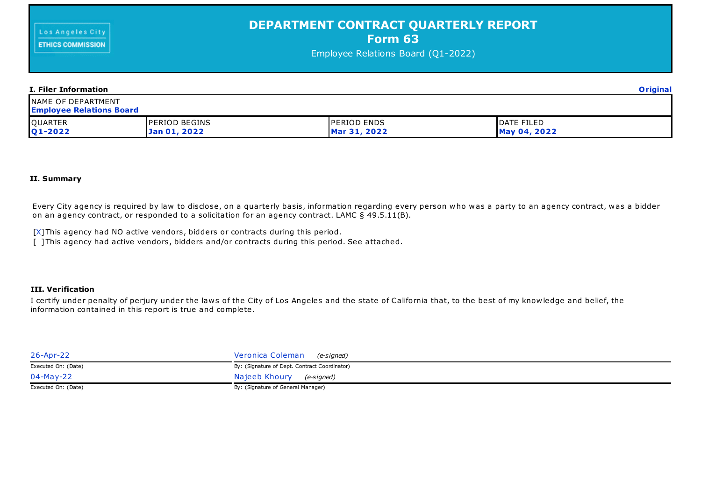| Los Angeles City | <b>DEPARTMENT CONTRACT QUARTERLY REPORT</b><br>Form 63<br>Employee Relations Board (Q1-2022) |  |
|------------------|----------------------------------------------------------------------------------------------|--|
|                  |                                                                                              |  |

| I. Filer Information                                         |                                      |                                    |                            |  |
|--------------------------------------------------------------|--------------------------------------|------------------------------------|----------------------------|--|
| <b>NAME OF DEPARTMENT</b><br><b>Employee Relations Board</b> |                                      |                                    |                            |  |
| QUARTER<br>Q1-2022                                           | <b>PERIOD BEGINS</b><br>Jan 01, 2022 | <b>PERIOD ENDS</b><br>Mar 31, 2022 | DATE FILED<br>May 04, 2022 |  |

## **II. Summary**

Every City agency is required by law to disclose, on a quarterly basis, information regarding every person who was a party to an agency contract, was a bidder on an agency contract, or responded to a solicitation for an agency contract. LAMC  $\S~49.5.11(B)$ .

[X] This agency had NO active vendors, bidders or contracts during this period.

[ ] This agency had active vendors, bidders and/or contracts during this period. See attached.

## **III. Verification**

I certify under penalty of perjury under the laws of the City of Los Angeles and the state of California that, to the best of my knowledge and belief, the information contained in this report is true and complete.

| 26-Apr-22           | Veronica Coleman (e-signed)                   |
|---------------------|-----------------------------------------------|
| Executed On: (Date) | By: (Signature of Dept. Contract Coordinator) |
| 04-May-22           | Najeeb Khoury (e-signed)                      |
| Executed On: (Date) | By: (Signature of General Manager)            |